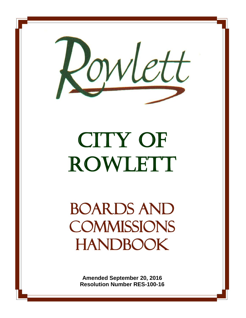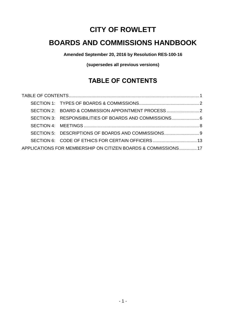# **CITY OF ROWLETT**

# **BOARDS AND COMMISSIONS HANDBOOK**

**Amended September 20, 2016 by Resolution RES-100-16**

**(supersedes all previous versions)**

# **TABLE OF CONTENTS**

<span id="page-1-0"></span>

| SECTION 2: BOARD & COMMISSION APPOINTMENT PROCESS              |  |
|----------------------------------------------------------------|--|
| SECTION 3: RESPONSIBILITIES OF BOARDS AND COMMISSIONS 6        |  |
|                                                                |  |
|                                                                |  |
| SECTION 6: CODE OF ETHICS FOR CERTAIN OFFICERS 13              |  |
| APPLICATIONS FOR MEMBERSHIP ON CITIZEN BOARDS & COMMISSIONS 17 |  |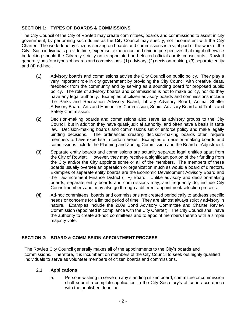# <span id="page-2-0"></span>**SECTION 1: TYPES OF BOARDS & COMMISSIONS**

The City Council of the City of Rowlett may create committees, boards and commissions to assist in city government, by performing such duties as the City Council may specify, not inconsistent with the City Charter. The work done by citizens serving on boards and commissions is a vital part of the work of the City. Such individuals provide time, expertise, experience and unique perspectives that might otherwise be lacking should the City rely strictly on its appointed and elected officials or its consultants. Rowlett generally has four types of boards and commissions: (1) advisory, (2) decision-making, (3) separate entity and (4) ad-hoc.

- **(1)** Advisory boards and commissions advise the City Council on public policy. They play a very important role in city government by providing the City Council with creative ideas, feedback from the community and by serving as a sounding board for proposed public policy. The role of advisory boards and commissions is not to make policy, nor do they have any legal authority. Examples of citizen advisory boards and commissions include the Parks and Recreation Advisory Board, Library Advisory Board, Animal Shelter Advisory Board, Arts and Humanities Commission, Senior Advisory Board and Traffic and Safety Commission.
- **(2)** Decision-making boards and commissions also serve as advisory groups to the City Council, but in addition they have quasi-judicial authority, and often have a basis in state law. Decision-making boards and commissions set or enforce policy and make legally binding decisions. The ordinances creating decision-making boards often require members to have expertise in certain areas. Examples of decision-making boards and commissions include the Planning and Zoning Commission and the Board of Adjustment.
- **(3)** Separate entity boards and commissions are actually separate legal entities apart from the City of Rowlett. However, they may receive a significant portion of their funding from the City and/or the City appoints some or all of the members. The members of these boards usually oversee an operation or organization much as would a board of directors. Examples of separate entity boards are the Economic Development Advisory Board and the Tax-Increment Finance District (TIF) Board. Unlike advisory and decision-making boards, separate entity boards and commissions may, and frequently do, include City Councilmembers and may also go through a different appointment/selection process.
- **(4)** Ad-hoc committees, boards and commissions are created periodically to address specific needs or concerns for a limited period of time. They are almost always strictly advisory in nature. Examples include the 2009 Bond Advisory Committee and Charter Review Commission (appointed in compliance with the City Charter). The City Council shall have the authority to create ad-hoc committees and to appoint members thereto with a simple majority vote.

# <span id="page-2-1"></span>**SECTION 2: BOARD & COMMISSION APPOINTMENT PROCESS**

The Rowlett City Council generally makes all of the appointments to the City's boards and commissions. Therefore, it is incumbent on members of the City Council to seek out highly qualified individuals to serve as volunteer members of citizen boards and commissions.

# **2.1 Applications**

a. Persons wishing to serve on any standing citizen board, committee or commission shall submit a complete application to the City Secretary's office in accordance with the published deadline.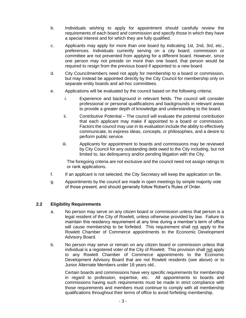- b. Individuals wishing to apply for appointment should carefully review the requirements of each board and commission and specify those in which they have a special interest and for which they are fully qualified.
- c. Applicants may apply for more than one board by indicating 1st, 2nd, 3rd, etc., preferences. Individuals currently serving on a city board, commission or committee are not prevented from applying for a different board. However, since one person may not preside on more than one board, that person would be required to resign from the previous board if appointed to a new board.
- d. City Councilmembers need not apply for membership to a board or commission, but may instead be appointed directly by the City Council for membership only on separate entity boards and ad-hoc committees.
- e. Applications will be evaluated by the council based on the following criteria:
	- i. Experience and background in relevant fields. The council will consider professional or personal qualifications and backgrounds in relevant areas to provide a greater depth of knowledge and understanding to the board.
	- ii. Contributive Potential The council will evaluate the potential contribution that each applicant may make if appointed to a board or commission. Factors the council may use in its evaluation include the ability to effectively communicate, to express ideas, concepts, or philosophies, and a desire to perform public service.
	- iii. Applicants for appointment to boards and commissions may be reviewed by City Council for any outstanding debt owed to the City including, but not limited to, tax delinquency and/or pending litigation with the City.

The foregoing criteria are not exclusive and the council need not assign ratings to or rank applications.

- f. If an applicant is not selected, the City Secretary will keep the application on file.
- g. Appointments by the council are made in open meetings by simple majority vote of those present, and should generally follow Robert's Rules of Order.

# **2.2 Eligibility Requirements**

- a. No person may serve on any citizen board or commission unless that person is a legal resident of the City of Rowlett, unless otherwise provided by law. Failure to maintain this residency requirement at any time during a member's term of office will cause membership to be forfeited. This requirement shall not apply to the Rowlett Chamber of Commerce appointments to the Economic Development Advisory Board.
- b. No person may serve or remain on any citizen board or commission unless that individual is a registered voter of the City of Rowlett. This provision shall not apply to any Rowlett Chamber of Commerce appointments to the Economic Development Advisory Board that are not Rowlett residents (see above) or to Junior Alternate Members under 18 years old..

Certain boards and commissions have very specific requirements for membership in regard to profession, expertise, etc. All appointments to boards and commissions having such requirements must be made in strict compliance with those requirements and members must continue to comply with all membership qualifications throughout their terms of office to avoid forfeiting membership.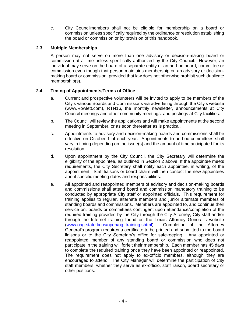c. City Councilmembers shall not be eligible for membership on a board or commission unless specifically required by the ordinance or resolution establishing the board or commission or by provision of this handbook.

# **2.3 Multiple Memberships**

A person may not serve on more than one advisory or decision-making board or commission at a time unless specifically authorized by the City Council. However, an individual may serve on the board of a separate entity or an ad-hoc board, committee or commission even though that person maintains membership on an advisory or decisionmaking board or commission, provided that law does not otherwise prohibit such duplicate membership(s).

# **2.4 Timing of Appointments/Terms of Office**

- a. Current and prospective volunteers will be invited to apply to be members of the City's various Boards and Commissions via advertising through the City's website (www.Rowlett.com), RTN16, the monthly newsletter, announcements at City Council meetings and other community meetings, and postings at City facilities.
- b. The Council will review the applications and will make appointments at the second meeting in September, or as soon thereafter as is practical.
- c. Appointments to advisory and decision-making boards and commissions shall be effective on October 1 of each year. Appointments to ad-hoc committees shall vary in timing depending on the issue(s) and the amount of time anticipated for its resolution.
- d. Upon appointment by the City Council, the City Secretary will determine the eligibility of the appointee, as outlined in Section 2 above. If the appointee meets requirements, the City Secretary shall notify each appointee, in writing, of the appointment. Staff liaisons or board chairs will then contact the new appointees about specific meeting dates and responsibilities.
- e. All appointed and reappointed members of advisory and decision-making boards and commissions shall attend board and commission mandatory training to be conducted by appropriate City staff or appointed officials. This requirement for training applies to regular, alternate members and junior alternate members of standing boards and commissions. Members are appointed to, and continue their service on, boards or committees contingent upon attendance/completion of the required training provided by the City through the City Attorney, City staff and/or through the Internet training found on the Texas Attorney General's website [\(www.oag.state.tx.us/open/og\\_training.shtml\)](http://www.oag.state.tx.us/open/og_training.shtml). Completion of the Attorney General's program requires a certificate to be printed and submitted to the board liaisons or to the City Secretary's office for safekeeping. Any appointed or reappointed member of any standing board or commission who does not participate in the training will forfeit their membership. Each member has 45 days to complete the required training once they have been appointed or reappointed. The requirement does not apply to ex-officio members, although they are encouraged to attend. The City Manager will determine the participation of City staff members, whether they serve as ex-officio, staff liaison, board secretary or other positions.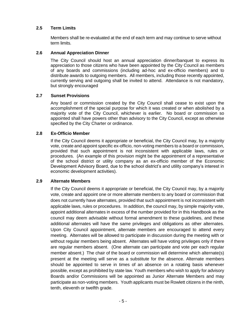# **2.5 Term Limits**

Members shall be re-evaluated at the end of each term and may continue to serve without term limits.

# **2.6 Annual Appreciation Dinner**

The City Council should host an annual appreciation dinner/banquet to express its appreciation to those citizens who have been appointed by the City Council as members of any boards and commissions (including ad-hoc and ex-officio members) and to distribute awards to outgoing members. All members, including those recently appointed, currently serving and outgoing shall be invited to attend. Attendance is not mandatory, but strongly encouraged

# **2.7 Sunset Provisions**

Any board or commission created by the City Council shall cease to exist upon the accomplishment of the special purpose for which it was created or when abolished by a majority vote of the City Council, whichever is earlier. No board or commission so appointed shall have powers other than advisory to the City Council, except as otherwise specified by the City Charter or ordinance.

# **2.8 Ex-Officio Member**

If the City Council deems it appropriate or beneficial, the City Council may, by a majority vote, create and appoint specific ex-officio, non-voting members to a board or commission, provided that such appointment is not inconsistent with applicable laws, rules or procedures. (An example of this provision might be the appointment of a representative of the school district or utility company as an ex-officio member of the Economic Development Advisory Board, due to the school district's and utility company's interest in economic development activities).

# **2.9 Alternate Members**

If the City Council deems it appropriate or beneficial, the City Council may, by a majority vote, create and appoint one or more alternate members to any board or commission that does not currently have alternates, provided that such appointment is not inconsistent with applicable laws, rules or procedures. In addition, the council may, by simple majority vote, appoint additional alternates in excess of the number provided for in this Handbook as the council may deem advisable without formal amendment to these guidelines, and these additional alternates will have the same privileges and obligations as other alternates. Upon City Council appointment, alternate members are encouraged to attend every meeting. Alternates will be allowed to participate in discussion during the meeting with or without regular members being absent. Alternates will have voting privileges only if there are regular members absent. (One alternate can participate and vote per each regular member absent.) The chair of the board or commission will determine which alternate(s) present at the meeting will serve as a substitute for the absence. Alternate members should be appointed to serve in times of an absence on a rotating basis whenever possible, except as prohibited by state law. Youth members who wish to apply for advisory Boards and/or Commissions will be appointed as Junior Alternate Members and may participate as non-voting members. Youth applicants must be Rowlett citizens in the ninth, tenth, eleventh or twelfth grade.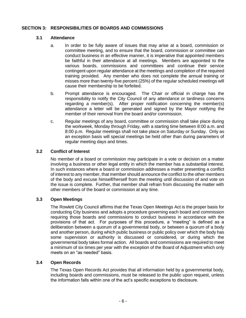# <span id="page-6-0"></span>**SECTION 3: RESPONSIBILITIES OF BOARDS AND COMMISSIONS**

### **3.1 Attendance**

- a. In order to be fully aware of issues that may arise at a board, commission or committee meeting, and to ensure that the board, commission or committee can conduct business in an effective manner, it is imperative that appointed members be faithful in their attendance at all meetings. Members are appointed to the various boards, commissions and committees and continue their service contingent upon regular attendance at the meetings and completion of the required training provided. Any member who does not complete the annual training or misses more than twenty-five percent (25%) of the regular scheduled meetings will cause their membership to be forfeited.
- b. Prompt attendance is encouraged. The Chair or official in charge has the responsibility to notify the City Council of any attendance or tardiness concerns regarding a member(s). After proper notification concerning the member(s) attendance a letter will be generated and signed by the Mayor notifying the member of their removal from the board and/or commission.
- c. Regular meetings of any board, committee or commission shall take place during the workweek, Monday through Friday, with a starting time between 8:00 a.m. and 8:00 p.m. Regular meetings shall not take place on Saturday or Sunday. Only as an exception basis will special meetings be held other than during parameters of regular meeting days and times.

# **3.2 Conflict of Interest**

No member of a board or commission may participate in a vote or decision on a matter involving a business or other legal entity in which the member has a substantial interest. In such instances where a board or commission addresses a matter presenting a conflict of interest to any member, that member should announce the conflict to the other members of the body and excuse himself/herself from the meeting until discussion of and vote on the issue is complete. Further, that member shall refrain from discussing the matter with other members of the board or commission at any time.

# **3.3 Open Meetings**

The Rowlett City Council affirms that the Texas Open Meetings Act is the proper basis for conducting City business and adopts a procedure governing each board and commission requiring those boards and commissions to conduct business in accordance with the provisions of that act. For purposes of this procedure, a "meeting" is defined as a deliberation between a quorum of a governmental body, or between a quorum of a body and another person, during which public business or public policy over which the body has some supervision or authority is discussed or considered, or during which the governmental body takes formal action. All boards and commissions are required to meet a minimum of six times per year with the exception of the Board of Adjustment which only meets on an "as needed" basis.

# **3.4 Open Records**

The Texas Open Records Act provides that all information held by a governmental body, including boards and commissions, must be released to the public upon request, unless the information falls within one of the act's specific exceptions to disclosure.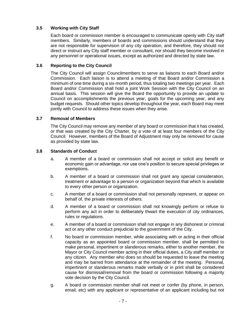# **3.5 Working with City Staff**

Each board or commission member is encouraged to communicate openly with City staff members. Similarly, members of boards and commissions should understand that they are not responsible for supervision of any city operation, and therefore, they should not direct or instruct any City staff member or consultant, nor should they become involved in any personnel or operational issues, except as authorized and directed by state law.

# **3.6 Reporting to the City Council**

The City Council will assign Councilmembers to serve as liaisons to each Board and/or Commission. Each liaison is to attend a meeting of that Board and/or Commission a minimum of one time during a six-month period, thus totaling two meetings per year. Each Board and/or Commission shall hold a joint Work Session with the City Council on an annual basis. This session will give the Board the opportunity to provide an update to Council on accomplishments the previous year, goals for the upcoming year, and any budget requests. Should other topics develop throughout the year, each Board may meet jointly with Council to address these issues when they arise.

# **3.7 Removal of Members**

The City Council may remove any member of any board or commission that it has created, or that was created by the City Charter, by a vote of at least four members of the City Council. However, members of the Board of Adjustment may only be removed for cause as provided by state law.

# **3.8 Standards of Conduct**

- a. A member of a board or commission shall not accept or solicit any benefit or economic gain or advantage, nor use one's position to secure special privileges or exemptions.
- b. A member of a board or commission shall not grant any special consideration, treatment or advantage to a person or organization beyond that which is available to every other person or organization.
- c. A member of a board or commission shall not personally represent, or appear on behalf of, the private interests of others.
- d. A member of a board or commission shall not knowingly perform or refuse to perform any act in order to deliberately thwart the execution of city ordinances, rules or regulations.
- e. A member of a board or commission shall not engage in any dishonest or criminal act or any other conduct prejudicial to the government of the City.
- f. No board or commission member, while associating with or acting in their official capacity as an appointed board or commission member, shall be permitted to make personal, impertinent or slanderous remarks, either to another member, the Mayor or City Council member acting in their official duties, a City staff member or any citizen. Any member who does so should be requested to leave the meeting and may be barred from attendance at the remainder of the meeting. Personal, impertinent or slanderous remarks made verbally or in print shall be considered cause for dismissal/removal from the board or commission following a majority vote decision by the City Council.
- g. A board or commission member shall not meet or confer (by phone, in person, email, etc) with any applicant or representative of an applicant including but not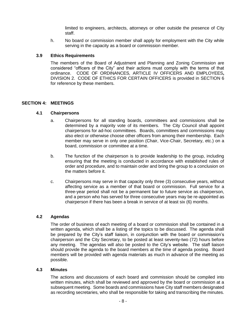limited to engineers, architects, attorneys or other outside the presence of City staff.

h. No board or commission member shall apply for employment with the City while serving in the capacity as a board or commission member.

# **3.9 Ethics Requirements**

The members of the Board of Adjustment and Planning and Zoning Commission are considered "officers of the City" and their actions must comply with the terms of that ordinance. CODE OF ORDINANCES, ARTICLE IV OFFICERS AND EMPLOYEES**,**  DIVISION 2. CODE OF ETHICS FOR CERTAIN OFFICERS is provided in SECTION 6 for reference by these members.

#### <span id="page-8-0"></span>**SECTION 4: MEETINGS**

### **4.1 Chairpersons**

- a. Chairpersons for all standing boards, committees and commissions shall be determined by a majority vote of its members. The City Council shall appoint chairpersons for ad-hoc committees. Boards, committees and commissions may also elect or otherwise choose other officers from among their membership. Each member may serve in only one position (Chair, Vice-Chair, Secretary, etc.) on a board, commission or committee at a time.
- b. The function of the chairperson is to provide leadership to the group, including ensuring that the meeting is conducted in accordance with established rules of order and procedure, and to maintain order and bring the group to a conclusion on the matters before it.
- c. Chairpersons may serve in that capacity only three (3) consecutive years, without affecting service as a member of that board or commission. Full service for a three-year period shall not be a permanent bar to future service as chairperson, and a person who has served for three consecutive years may be re-appointed as chairperson if there has been a break in service of at least six (6) months.

### **4.2 Agendas**

The order of business of each meeting of a board or commission shall be contained in a written agenda, which shall be a listing of the topics to be discussed. The agenda shall be prepared by the City's staff liaison, in conjunction with the board or commission's chairperson and the City Secretary, to be posted at least seventy-two (72) hours before any meeting. The agendas will also be posted to the City's website. The staff liaison should provide the agenda to the board members at the time of agenda posting. Board members will be provided with agenda materials as much in advance of the meeting as possible.

#### **4.3 Minutes**

The actions and discussions of each board and commission should be compiled into written minutes, which shall be reviewed and approved by the board or commission at a subsequent meeting. Some boards and commissions have City staff members designated as recording secretaries, who shall be responsible for taking and transcribing the minutes.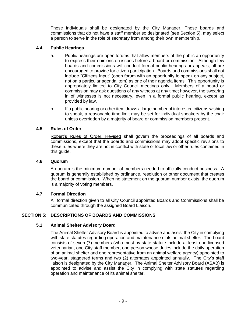These individuals shall be designated by the City Manager. Those boards and commissions that do not have a staff member so designated (see Section 5), may select a person to serve in the role of secretary from among their own membership.

# **4.4 Public Hearings**

- a. Public hearings are open forums that allow members of the public an opportunity to express their opinions on issues before a board or commission. Although few boards and commissions will conduct formal public hearings or appeals, all are encouraged to provide for citizen participation. Boards and commissions shall not include "Citizens Input" (open forum with an opportunity to speak on any subject, not on a particular agenda item) as one of their agenda items. This opportunity is appropriately limited to City Council meetings only. Members of a board or commission may ask questions of any witness at any time; however, the swearing in of witnesses is not necessary, even in a formal public hearing, except as provided by law.
- b. If a public hearing or other item draws a large number of interested citizens wishing to speak, a reasonable time limit may be set for individual speakers by the chair unless overridden by a majority of board or commission members present.

# **4.5 Rules of Order**

Robert's Rules of Order, Revised shall govern the proceedings of all boards and commissions, except that the boards and commissions may adopt specific revisions to these rules where they are not in conflict with state or local law or other rules contained in this guide.

# **4.6 Quorum**

A quorum is the minimum number of members needed to officially conduct business. A quorum is generally established by ordinance, resolution or other document that creates the board or commission. When no statement on the quorum number exists, the quorum is a majority of voting members.

# **4.7 Formal Direction**

All formal direction given to all City Council appointed Boards and Commissions shall be communicated through the assigned Board Liaison.

# <span id="page-9-0"></span>**SECTION 5: DESCRIPTIONS OF BOARDS AND COMMISSIONS**

# **5.1 Animal Shelter Advisory Board**

The Animal Shelter Advisory Board is appointed to advise and assist the City in complying with state statutes regarding operation and maintenance of its animal shelter. The board consists of seven (7) members (who must by state statute include at least one licensed veterinarian, one City staff member, one person whose duties include the daily operation of an animal shelter and one representative from an animal welfare agency) appointed to two-year, staggered terms and two (2) alternates appointed annually. The City's staff liaison is designated by the City Manager. The Animal Shelter Advisory Board (ASAB) is appointed to advise and assist the City in complying with state statutes regarding operation and maintenance of its animal shelter.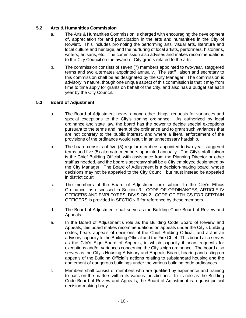# **5.2 Arts & Humanities Commission**

- a. The Arts & Humanities Commission is charged with encouraging the development of, appreciation for and participation in the arts and humanities in the City of Rowlett. This includes promoting the performing arts, visual arts, literature and local culture and heritage, and the nurturing of local artists, performers, historians, writers, artisans, etc. The commission also advises and makes recommendations to the City Council on the award of City grants related to the arts.
- b. The commission consists of seven (7) members appointed to two-year, staggered terms and two alternates appointed annually. The staff liaison and secretary to this commission shall be as designated by the City Manager. The commission is advisory in nature, though one unique aspect of this commission is that it may from time to time apply for grants on behalf of the City, and also has a budget set each year by the City Council.

# **5.3 Board of Adjustment**

- a. The Board of Adjustment hears, among other things, requests for variances and special exceptions to the City's zoning ordinance. As authorized by local ordinance and state law, the board has the power to decide special exceptions pursuant to the terms and intent of the ordinance and to grant such variances that are not contrary to the public interest, and where a literal enforcement of the provisions of the ordinance would result in an unnecessary hardship.
- b. The board consists of five (5) regular members appointed to two-year staggered terms and five (5) alternate members appointed annually. The City's staff liaison is the Chief Building Official, with assistance from the Planning Director or other staff as needed, and the board's secretary shall be a City employee designated by the City Manager. The Board of Adjustment is a decision-making board, whose decisions may not be appealed to the City Council, but must instead be appealed in district court.
- c. The members of the Board of Adjustment are subject to the City's Ethics Ordinance, as discussed in Section 3. CODE OF ORDINANCES, ARTICLE IV OFFICERS AND EMPLOYEES**,** DIVISION 2. CODE OF ETHICS FOR CERTAIN OFFICERS is provided in SECTION 6 for reference by these members.
- d. The Board of Adjustment shall serve as the Building Code Board of Review and Appeals.
- e. In the Board of Adjustment's role as the Building Code Board of Review and Appeals, this board makes recommendations on appeals under the City's building codes, hears appeals of decisions of the Chief Building Official, and act in an advisory capacity to the Building Official and the Fire Chief. This board also serves as the City's Sign Board of Appeals, in which capacity it hears requests for exceptions and/or variances concerning the City's sign ordinance. The board also serves as the City's Housing Advisory and Appeals Board, hearing and acting on appeals of the Building Official's actions relating to substandard housing and the abatement of dangerous buildings under the various building code ordinances.
- f. Members shall consist of members who are qualified by experience and training to pass on the matters within its various jurisdictions. In its role as the Building Code Board of Review and Appeals, the Board of Adjustment is a quasi-judicial decision-making body.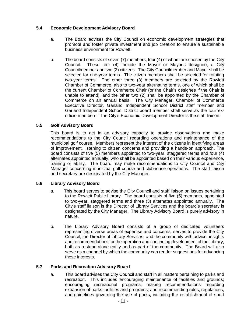# **5.4 Economic Development Advisory Board**

- a. The Board advises the City Council on economic development strategies that promote and foster private investment and job creation to ensure a sustainable business environment for Rowlett.
- b. The board consists of seven (7) members, four (4) of whom are chosen by the City Council. These four (4) include the Mayor or Mayor's designee, a City Councilmember and two (2) citizens. The City Councilmember and Mayor shall be selected for one-year terms. The citizen members shall be selected for rotating two-year terms. The other three (3) members are selected by the Rowlett Chamber of Commerce, also to two-year alternating terms, one of which shall be the current Chamber of Commerce Chair (or the Chair's designee if the Chair is unable to attend), and the other two (2) shall be appointed by the Chamber of Commerce on an annual basis. The City Manager, Chamber of Commerce Executive Director, Garland Independent School District staff member and Garland Independent School District board member shall serve as the four exofficio members. The City's Economic Development Director is the staff liaison.

# **5.5 Golf Advisory Board**

This board is to act in an advisory capacity to provide observations and make recommendations to the City Council regarding operations and maintenance of the municipal golf course. Members represent the interest of the citizens in identifying areas of improvement, listening to citizen concerns and providing a hands-on approach. The board consists of five (5) members appointed to two-year, staggered terms and four (4) alternates appointed annually, who shall be appointed based on their various experience, training or ability. The board may make recommendations to City Council and City Manager concerning municipal golf course and clubhouse operations. The staff liaison and secretary are designated by the City Manager.

# **5.6 Library Advisory Board**

- a. This board serves to advise the City Council and staff liaison on issues pertaining to the Rowlett Public Library. The board consists of five (5) members, appointed to two-year, staggered terms and three (3) alternates appointed annually. The City's staff liaison is the Director of Library Services and the board's secretary is designated by the City Manager. The Library Advisory Board is purely advisory in nature.
- b. The Library Advisory Board consists of a group of dedicated volunteers representing diverse areas of expertise and concerns, serves to provide the City Council, the Director of Library Services, and the community with advice, insights and recommendations for the operation and continuing development of the Library, both as a stand-alone entity and as part of the community. The Board will also serve as a channel by which the community can render suggestions for advancing those interests.

# **5.7 Parks and Recreation Advisory Board**

a. This board advises the City Council and staff in all matters pertaining to parks and recreation. This includes encouraging maintenance of facilities and grounds; encouraging recreational programs; making recommendations regarding expansion of parks facilities and programs; and recommending rules, regulations, and guidelines governing the use of parks, including the establishment of sport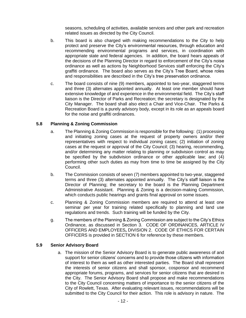seasons, scheduling of activities, available services and other park and recreation related issues as directed by the City Council.

- b. This board is also charged with making recommendations to the City to help protect and preserve the City's environmental resources, through education and recommending environmental programs and services, in coordination with appropriate state and federal agencies. In addition, the board hears appeals of the decisions of the Planning Director in regard to enforcement of the City's noise ordinance as well as actions by Neighborhood Services staff enforcing the City's graffiti ordinance. The board also serves as the City's Tree Board, whose roles and responsibilities are described in the City's tree preservation ordinance.
- c. The board consists of nine (9) members, appointed to two-year, staggered terms and three (3) alternates appointed annually. At least one member should have extensive knowledge of and experience in the environmental field. The City's staff liaison is the Director of Parks and Recreation; the secretary is designated by the City Manager. The board shall also elect a Chair and Vice-Chair. The Parks & Recreation Board is a purely advisory body, except in its role as an appeals board for the noise and graffiti ordinances.

# **5.8 Planning & Zoning Commission**

- a. The Planning & Zoning Commission is responsible for the following: (1) processing and initiating zoning cases at the request of property owners and/or their representatives with respect to individual zoning cases; (2) initiation of zoning cases at the request or approval of the City Council; (3) hearing, recommending, and/or determining any matter relating to planning or subdivision control as may be specified by the subdivision ordinance or other applicable law; and (4) performing other such duties as may from time to time be assigned by the City Council.
- b. The Commission consists of seven (7) members appointed to two-year, staggered terms and three (3) alternates appointed annually. The City's staff liaison is the Director of Planning; the secretary to the board is the Planning Department Administrative Assistant. Planning & Zoning is a decision-making Commission, which conducts public hearings and grants final approval on some issues.
- c. Planning & Zoning Commission members are required to attend at least one seminar per year for training related specifically to planning and land use regulations and trends. Such training will be funded by the City.
- g. The members of the Planning & Zoning Commission are subject to the City's Ethics Ordinance, as discussed in Section 3. CODE OF ORDINANCES, ARTICLE IV OFFICERS AND EMPLOYEES**,** DIVISION 2. CODE OF ETHICS FOR CERTAIN OFFICERS is provided in SECTION 6 for reference by these members.

#### **5.9 Senior Advisory Board**

a. The mission of the Senior Advisory Board is to generate public awareness of and support for senior citizens' concerns and to provide those citizens with information of interest to them as well as other interested parties. The Board shall represent the interests of senior citizens and shall sponsor, cosponsor and recommend appropriate forums, programs, and services for senior citizens that are desired in the City. The Senior Advisory Board shall propose and make recommendations to the City Council concerning matters of importance to the senior citizens of the City of Rowlett, Texas. After evaluating relevant issues, recommendations will be submitted to the City Council for their action. This role is advisory in nature. The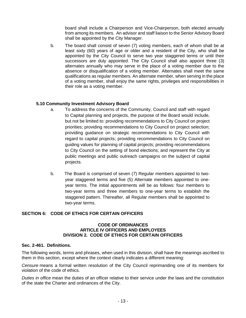board shall include a Chairperson and Vice-Chairperson, both elected annually from among its members. An advisor and staff liaison to the Senior Advisory Board shall be appointed by the City Manager.

b. The board shall consist of seven (7) voting members, each of whom shall be at least sixty (60) years of age or older and a resident of the City, who shall be appointed by the City Council to serve two year staggered terms or until their successors are duly appointed. The City Council shall also appoint three (3) alternates annually who may serve in the place of a voting member due to the absence or disqualification of a voting member. Alternates shall meet the same qualifications as regular members. An alternate member, when serving in the place of a voting member, shall enjoy the same rights, privileges and responsibilities in their role as a voting member.

# **5.10 Community Investment Advisory Board**

- a. To address the concerns of the Community, Council and staff with regard to Capital planning and projects, the purpose of the Board would include, but not be limited to: providing recommendations to City Council on project priorities; providing recommendations to City Council on project selection; providing guidance on strategic recommendations to City Council with regard to capital projects; providing recommendations to City Council on guiding values for planning of capital projects; providing recommendations to City Council on the setting of bond elections; and represent the City at public meetings and public outreach campaigns on the subject of capital projects.
- b. The Board is comprised of seven (7) Regular members appointed to twoyear staggered terms and five (5) Alternate members appointed to oneyear terms. The initial appointments will be as follows: four members to two-year terms and three members to one-year terms to establish the staggered pattern. Thereafter, all Regular members shall be appointed to two-year terms.

# <span id="page-13-0"></span>**SECTION 6: CODE OF ETHICS FOR CERTAIN OFFICERS**

#### **CODE OF ORDINANCES ARTICLE IV OFFICERS AND EMPLOYEES DIVISION 2. CODE OF ETHICS FOR CERTAIN OFFICERS**

#### **Sec. 2-461. Definitions.**

The following words, terms and phrases, when used in this division, shall have the meanings ascribed to them in this section, except where the context clearly indicates a different meaning:

*Censure* means a formal written resolution of the City Council reprimanding one of its members for violation of the code of ethics.

*Duties in office* mean the duties of an officer relative to their service under the laws and the constitution of the state the Charter and ordinances of the City.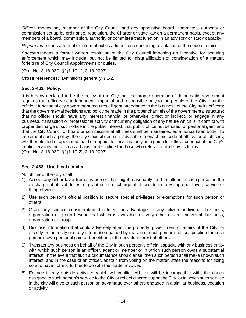*Officer* means any member of the City Council and any appointive board, committee, authority or commission set up by ordinance, resolution, the Charter or state law on a permanent basis, except any members of a board, commission, authority or committee that function in an advisory or study capacity.

*Reprimand* means a formal or informal public admonition concerning a violation of the code of ethics.

*Sanction* means a formal written resolution of the City Council imposing an incentive for securing enforcement which may include, but not be limited to, disqualification of consideration of a matter, forfeiture of City Council appointments or duties.

(Ord. No. 3-18-03D, §1(1-10-1), 3-18-2003)

**Cross references:** Definitions generally, §1-2.

# **Sec. 2-462. Policy.**

It is hereby declared to be the policy of the City that the proper operation of democratic government requires that officers be independent, impartial and responsible only to the people of the City; that the efficient function of city government requires diligent attendance to the business of the City by its officers; that the governmental decisions and policy be made in the proper channels of the governmental structure; that no officer should have any interest financial or otherwise, direct or indirect, or engage in any business, transaction or professional activity or incur any obligation of any nature which is in conflict with proper discharge of such office in the public interest; that public office not be used for personal gain; and that the City Council or board or commission at all times shall be maintained as a nonpartisan body. To implement such a policy, the City Council deems it advisable to enact this code of ethics for all officers, whether elected or appointed, paid or unpaid, to serve not only as a guide for official conduct of the City's public servants, but also as a basis for discipline for those who refuse to abide by its terms. (Ord. No. 3-18-03D, §1(1-10-2), 3-18-2003)

# **Sec. 2-463. Unethical activity.**

No officer of the City shall:

- 1) Accept any gift or favor from any person that might reasonably tend to influence such person in the discharge of official duties, or grant in the discharge of official duties any improper favor, service or thing of value.
- 2) Use such person's official position to secure special privileges or exemptions for such person or others.
- 3) Grant any special consideration, treatment or advantage to any citizen, individual, business, organization or group beyond that which is available to every other citizen, individual, business, organization or group.
- 4) Disclose information that could adversely affect the property, government or affairs of the City, or directly or indirectly use any information gained by reason of such person's official position for such person's own personal gain or benefit or for the private interest of others.
- 5) Transact any business on behalf of the City in such person's official capacity with any business entity with which such person is an officer, agent or member or in which such person owns a substantial interest. In the event that such a circumstance should arise, then such person shall make known such interest, and in the case of an officer, abstain from voting on the matter, state the reasons for doing so and have nothing further to do with the matter involved.
- 6) Engage in any outside activities which will conflict with, or will be incompatible with, the duties assigned to such person's service to the City or reflect discredit upon the City, or in which such service in the city will give to such person an advantage over others engaged in a similar business, vocation or activity.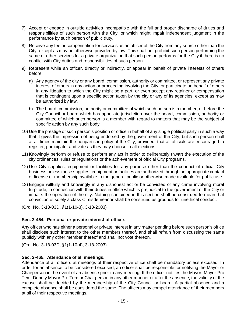- 7) Accept or engage in outside activities incompatible with the full and proper discharge of duties and responsibilities of such person with the City, or which might impair independent judgment in the performance by such person of public duty.
- 8) Receive any fee or compensation for services as an officer of the City from any source other than the City, except as may be otherwise provided by law. This shall not prohibit such person performing the same or other services for a private organization that such person performs for the City if there is no conflict with City duties and responsibilities of such person.
- 9) Represent while an officer, directly or indirectly, or appear in behalf of private interests of others before:
	- a) Any agency of the city or any board, commission, authority or committee, or represent any private interest of others in any action or proceeding involving the City, or participate on behalf of others in any litigation to which the City might be a part, or even accept any retainer or compensation that is contingent upon a specific action taken by the city or any of its agencies, except as may be authorized by law.
	- b) The board, commission, authority or committee of which such person is a member, or before the City Council or board which has appellate jurisdiction over the board, commission, authority or committee of which such person is a member with regard to matters that may be the subject of specific action by any such body.
- 10) Use the prestige of such person's position or office in behalf of any single political party in such a way that it gives the impression of being endorsed by the government of the City, but such person shall at all times maintain the nonpartisan policy of the City; provided, that all officials are encouraged to register, participate, and vote as they may choose in all elections.
- 11) Knowingly perform or refuse to perform any act in order to deliberately thwart the execution of the city ordinances, rules or regulations or the achievement of official City programs.
- 12) Use City supplies, equipment or facilities for any purpose other than the conduct of official City business unless these supplies, equipment or facilities are authorized through an appropriate contact or license or membership available to the general public or otherwise made available for public use.
- 13) Engage willfully and knowingly in any dishonest act or be convicted of any crime involving moral turpitude, in connection with their duties in office which is prejudicial to the government of the City or impairs the operation of the city. Nothing contained in this section shall be construed to mean that conviction of solely a class C misdemeanor shall be construed as grounds for unethical conduct.

(Ord. No. 3-18-03D, §1(1-10-3), 3-18-2003)

# **Sec. 2-464. Personal or private interest of officer.**

Any officer who has either a personal or private interest in any matter pending before such person's office shall disclose such interest to the other members thereof, and shall refrain from discussing the same publicly with any other member thereof and shall not vote thereon.

(Ord. No. 3-18-03D, §1(1-10-4), 3-18-2003)

# **Sec. 2-465. Attendance of all meetings.**

Attendance of all officers at meetings of their respective office shall be mandatory unless excused. In order for an absence to be considered excused, an officer shall be responsible for notifying the Mayor or Chairperson in the event of an absence prior to any meeting. If the officer notifies the Mayor, Mayor Pro Tem, Deputy Mayor Pro Tem or Chairperson in any other manner or after the absence, the validity of the excuse shall be decided by the membership of the City Council or board. A partial absence and a complete absence shall be considered the same. The officers may compel attendance of their members at all of their respective meetings.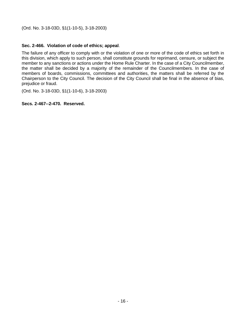(Ord. No. 3-18-03D, §1(1-10-5), 3-18-2003)

# **Sec. 2-466. Violation of code of ethics; appeal**.

The failure of any officer to comply with or the violation of one or more of the code of ethics set forth in this division, which apply to such person, shall constitute grounds for reprimand, censure, or subject the member to any sanctions or actions under the Home Rule Charter. In the case of a City Councilmember, the matter shall be decided by a majority of the remainder of the Councilmembers. In the case of members of boards, commissions, committees and authorities, the matters shall be referred by the Chairperson to the City Council. The decision of the City Council shall be final in the absence of bias, prejudice or fraud.

(Ord. No. 3-18-03D, §1(1-10-6), 3-18-2003)

# **Secs. 2-467--2-470. Reserved.**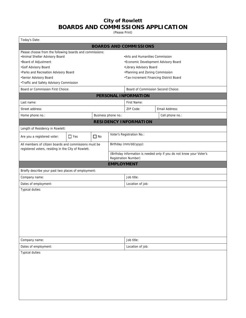# **City of Rowlett BOARDS AND COMMISSIONS APPLICATION**

(Please Print)

| Today's Date:                                                                                                |                         |  |                     |                                                                                              |  |                                      |  |
|--------------------------------------------------------------------------------------------------------------|-------------------------|--|---------------------|----------------------------------------------------------------------------------------------|--|--------------------------------------|--|
| <b>BOARDS AND COMMISSIONS</b>                                                                                |                         |  |                     |                                                                                              |  |                                      |  |
| Please choose from the following boards and commissions:                                                     |                         |  |                     |                                                                                              |  |                                      |  |
| •Animal Shelter Advisory Board                                                                               |                         |  |                     | .Arts and Humanities Commission                                                              |  |                                      |  |
| •Board of Adjustment                                                                                         |                         |  |                     |                                                                                              |  | *Economic Development Advisory Board |  |
| .Golf Advisory Board                                                                                         |                         |  |                     | •Library Advisory Board                                                                      |  |                                      |  |
| . Parks and Recreation Advisory Board<br>•Senior Advisory Board                                              |                         |  |                     | •Planning and Zoning Commission                                                              |  |                                      |  |
| •Traffic and Safety Advisory Commission                                                                      |                         |  |                     | •Tax-Increment Financing District Board                                                      |  |                                      |  |
| Board or Commission First Choice:                                                                            |                         |  |                     |                                                                                              |  | Board of Commission Second Choice:   |  |
|                                                                                                              |                         |  |                     | PERSONAL INFORMATION                                                                         |  |                                      |  |
| Last name:                                                                                                   |                         |  |                     | First Name:                                                                                  |  |                                      |  |
| Street address:                                                                                              |                         |  |                     | ZIP Code:                                                                                    |  | Email Address:                       |  |
| Home phone no.:                                                                                              |                         |  | Business phone no.: |                                                                                              |  | Cell phone no.:                      |  |
|                                                                                                              |                         |  |                     | <b>RESIDENCY INFORMATION</b>                                                                 |  |                                      |  |
| Length of Residency in Rowlett:                                                                              |                         |  |                     |                                                                                              |  |                                      |  |
| Are you a registered voter:                                                                                  | $\Box$ No<br>$\Box$ Yes |  |                     | Voter's Registration No.:                                                                    |  |                                      |  |
| All members of citizen boards and commissions must be<br>registered voters, residing in the City of Rowlett. |                         |  |                     | Birthday (mm/dd/yyyy):                                                                       |  |                                      |  |
|                                                                                                              |                         |  |                     | (Birthday information is needed only if you do not know your Voter's<br>Registration Number) |  |                                      |  |
|                                                                                                              |                         |  | <b>EMPLOYMENT</b>   |                                                                                              |  |                                      |  |
| Briefly describe your past two places of employment:                                                         |                         |  |                     |                                                                                              |  |                                      |  |
| Company name:                                                                                                |                         |  |                     | Job title:                                                                                   |  |                                      |  |
| Dates of employment:                                                                                         |                         |  |                     | Location of job:                                                                             |  |                                      |  |
| Typical duties:                                                                                              |                         |  |                     |                                                                                              |  |                                      |  |
|                                                                                                              |                         |  |                     |                                                                                              |  |                                      |  |
|                                                                                                              |                         |  |                     |                                                                                              |  |                                      |  |
|                                                                                                              |                         |  |                     |                                                                                              |  |                                      |  |
|                                                                                                              |                         |  |                     |                                                                                              |  |                                      |  |
|                                                                                                              |                         |  |                     |                                                                                              |  |                                      |  |
|                                                                                                              |                         |  |                     |                                                                                              |  |                                      |  |
|                                                                                                              |                         |  |                     |                                                                                              |  |                                      |  |
| Company name:                                                                                                |                         |  |                     | Job title:                                                                                   |  |                                      |  |
| Dates of employment:                                                                                         |                         |  |                     | Location of job:                                                                             |  |                                      |  |
| Typical duties:                                                                                              |                         |  |                     |                                                                                              |  |                                      |  |
|                                                                                                              |                         |  |                     |                                                                                              |  |                                      |  |
|                                                                                                              |                         |  |                     |                                                                                              |  |                                      |  |
|                                                                                                              |                         |  |                     |                                                                                              |  |                                      |  |
|                                                                                                              |                         |  |                     |                                                                                              |  |                                      |  |
|                                                                                                              |                         |  |                     |                                                                                              |  |                                      |  |
|                                                                                                              |                         |  |                     |                                                                                              |  |                                      |  |
|                                                                                                              |                         |  |                     |                                                                                              |  |                                      |  |
|                                                                                                              |                         |  |                     |                                                                                              |  |                                      |  |
|                                                                                                              |                         |  |                     |                                                                                              |  |                                      |  |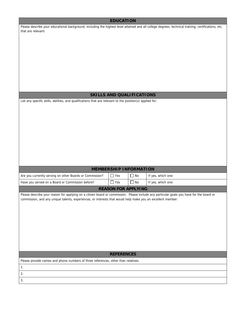#### **EDUCATION**

Please describe your educational background, including the highest level attained and all college degrees, technical training, certifications, etc. that are relevant:

#### **SKILLS AND QUALIFICATIONS**

List any specific skills, abilities, and qualifications that are relevant to the position(s) applied for:

#### **MEMBERSHIP INFORMATION**

| Are you currently serving on other Boards or Commission? | l Yes            | ' No      | If yes, which one: |
|----------------------------------------------------------|------------------|-----------|--------------------|
| Have you served on a Board or Commission before?         | <sup>1</sup> Yes | <b>No</b> | If yes, which one: |

#### **REASON FOR APPLYING**

Please describe your reason for applying on a citizen board or commission. Please include any particular goals you have for the board or commission, and any unique talents, experiences, or interests that would help make you an excellent member:

#### **REFERENCES**

Please provide names and phone numbers of three references, other than relatives.

1. 2.

3.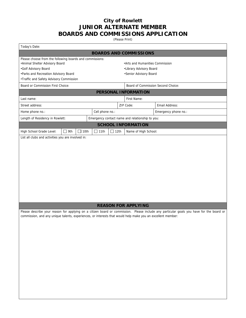# **City of Rowlett JUNIOR ALTERNATE MEMBER BOARDS AND COMMISSIONS APPLICATION**

(Please Print)

| Today's Date:                                                                                               |             |                 |             |                                                   |                                                                                                                                          |  |  |
|-------------------------------------------------------------------------------------------------------------|-------------|-----------------|-------------|---------------------------------------------------|------------------------------------------------------------------------------------------------------------------------------------------|--|--|
| <b>BOARDS AND COMMISSIONS</b>                                                                               |             |                 |             |                                                   |                                                                                                                                          |  |  |
| Please choose from the following boards and commissions:                                                    |             |                 |             |                                                   |                                                                                                                                          |  |  |
| •Animal Shelter Advisory Board                                                                              |             |                 |             | .Arts and Humanities Commission                   |                                                                                                                                          |  |  |
| •Golf Advisory Board<br>. Parks and Recreation Advisory Board                                               |             |                 |             | •Library Advisory Board<br>•Senior Advisory Board |                                                                                                                                          |  |  |
| •Traffic and Safety Advisory Commission                                                                     |             |                 |             |                                                   |                                                                                                                                          |  |  |
| Board or Commission First Choice:                                                                           |             |                 |             | Board of Commission Second Choice:                |                                                                                                                                          |  |  |
| PERSONAL INFORMATION                                                                                        |             |                 |             |                                                   |                                                                                                                                          |  |  |
| Last name:                                                                                                  |             |                 |             | First Name:                                       |                                                                                                                                          |  |  |
| Street address:                                                                                             |             |                 |             | ZIP Code:                                         | Email Address:                                                                                                                           |  |  |
| Home phone no.:                                                                                             |             | Cell phone no.: |             |                                                   | Emergency phone no.:                                                                                                                     |  |  |
| Length of Residency in Rowlett:                                                                             |             |                 |             | Emergency contact name and relationship to you:   |                                                                                                                                          |  |  |
|                                                                                                             |             |                 |             | <b>SCHOOL INFORMATION</b>                         |                                                                                                                                          |  |  |
| High School Grade Level:<br>$\Box$ 9th                                                                      | $\Box$ 10th | $\Box$ 11th     | $\Box$ 12th | Name of High School:                              |                                                                                                                                          |  |  |
| List all clubs and activities you are involved in:                                                          |             |                 |             |                                                   |                                                                                                                                          |  |  |
|                                                                                                             |             |                 |             |                                                   |                                                                                                                                          |  |  |
|                                                                                                             |             |                 |             |                                                   |                                                                                                                                          |  |  |
|                                                                                                             |             |                 |             |                                                   |                                                                                                                                          |  |  |
|                                                                                                             |             |                 |             |                                                   |                                                                                                                                          |  |  |
|                                                                                                             |             |                 |             |                                                   |                                                                                                                                          |  |  |
|                                                                                                             |             |                 |             |                                                   |                                                                                                                                          |  |  |
|                                                                                                             |             |                 |             |                                                   |                                                                                                                                          |  |  |
|                                                                                                             |             |                 |             |                                                   |                                                                                                                                          |  |  |
|                                                                                                             |             |                 |             |                                                   |                                                                                                                                          |  |  |
|                                                                                                             |             |                 |             |                                                   |                                                                                                                                          |  |  |
|                                                                                                             |             |                 |             |                                                   |                                                                                                                                          |  |  |
|                                                                                                             |             |                 |             | <b>REASON FOR APPLYING</b>                        |                                                                                                                                          |  |  |
|                                                                                                             |             |                 |             |                                                   | Please describe your reason for applying on a citizen board or commission. Please include any particular goals you have for the board or |  |  |
| commission, and any unique talents, experiences, or interests that would help make you an excellent member: |             |                 |             |                                                   |                                                                                                                                          |  |  |
|                                                                                                             |             |                 |             |                                                   |                                                                                                                                          |  |  |
|                                                                                                             |             |                 |             |                                                   |                                                                                                                                          |  |  |
|                                                                                                             |             |                 |             |                                                   |                                                                                                                                          |  |  |
|                                                                                                             |             |                 |             |                                                   |                                                                                                                                          |  |  |
|                                                                                                             |             |                 |             |                                                   |                                                                                                                                          |  |  |
|                                                                                                             |             |                 |             |                                                   |                                                                                                                                          |  |  |
|                                                                                                             |             |                 |             |                                                   |                                                                                                                                          |  |  |
|                                                                                                             |             |                 |             |                                                   |                                                                                                                                          |  |  |
|                                                                                                             |             |                 |             |                                                   |                                                                                                                                          |  |  |
|                                                                                                             |             |                 |             |                                                   |                                                                                                                                          |  |  |
|                                                                                                             |             |                 |             |                                                   |                                                                                                                                          |  |  |
|                                                                                                             |             |                 |             |                                                   |                                                                                                                                          |  |  |
|                                                                                                             |             |                 |             |                                                   |                                                                                                                                          |  |  |